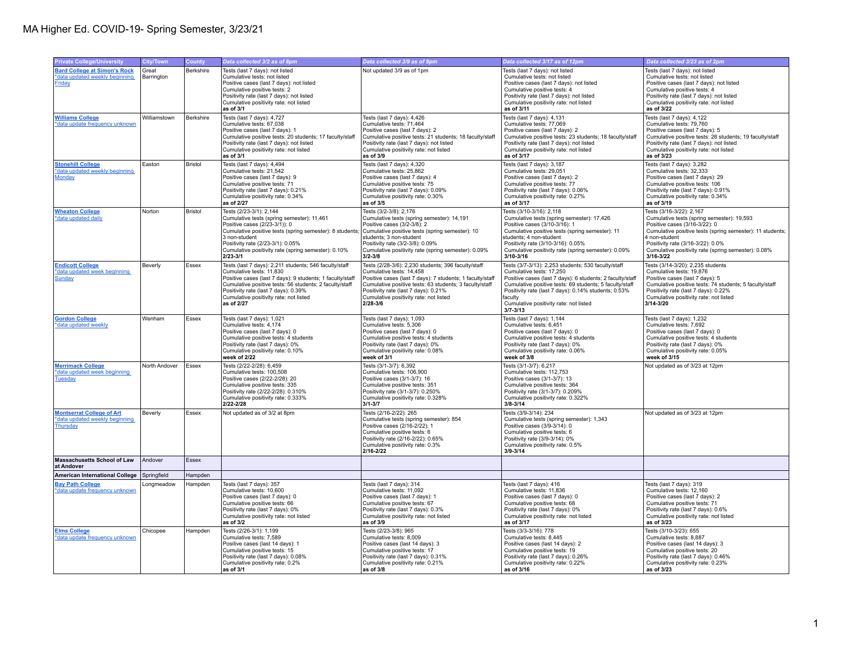| <b>Private College/University</b>                                               | <b>City/Town</b>    | County         | Data collected 3/2 as of 8pm                                                                                                                                                                                                                                                                               | Data collected 3/9 as of 9pm                                                                                                                                                                                                                                                                          | Data collected 3/17 as of 12pm                                                                                                                                                                                                                                                                                                       | Data collected 3/23 as of 2pm                                                                                                                                                                                                                                                                  |
|---------------------------------------------------------------------------------|---------------------|----------------|------------------------------------------------------------------------------------------------------------------------------------------------------------------------------------------------------------------------------------------------------------------------------------------------------------|-------------------------------------------------------------------------------------------------------------------------------------------------------------------------------------------------------------------------------------------------------------------------------------------------------|--------------------------------------------------------------------------------------------------------------------------------------------------------------------------------------------------------------------------------------------------------------------------------------------------------------------------------------|------------------------------------------------------------------------------------------------------------------------------------------------------------------------------------------------------------------------------------------------------------------------------------------------|
| <b>Bard College at Simon's Rock</b><br>*data updated weekly beginning<br>Friday | Great<br>Barrington | Berkshire      | Tests (last 7 days): not listed<br>Cumulative tests: not listed<br>Positive cases (last 7 days): not listed<br>Cumulative positive tests: 2<br>Positivity rate (last 7 days): not listed<br>Cumulative positivity rate: not listed<br>as of 3/1                                                            | Not updated 3/9 as of 1pm                                                                                                                                                                                                                                                                             | Tests (last 7 days): not listed<br>Cumulative tests: not listed<br>Positive cases (last 7 days): not listed<br>Cumulative positive tests: 4<br>Positivity rate (last 7 days): not listed<br>Cumulative positivity rate: not listed<br>as of 3/11                                                                                     | Tests (last 7 days): not listed<br>Cumulative tests: not listed<br>Positive cases (last 7 days): not listed<br>Cumulative positive tests: 4<br>Positivity rate (last 7 days): not listed<br>Cumulative positivity rate: not listed<br>as of 3/22                                               |
| <b>Williams College</b><br>*data update frequency unknown                       | Williamstown        | Berkshire      | Tests (last 7 days): 4,727<br>Cumulative tests: 67.038<br>Positive cases (last 7 days): 1<br>Cumulative positive tests: 20 students; 17 faculty/staff<br>Positivity rate (last 7 days); not listed<br>Cumulative positivity rate: not listed<br>as of 3/1                                                  | Tests (last 7 days): 4,426<br>Cumulative tests: 71.464<br>Positive cases (last 7 days): 2<br>Cumulative positive tests: 21 students; 18 faculty/staff<br>Positivity rate (last 7 days); not listed<br>Cumulative positivity rate: not listed<br>as of 3/9                                             | Tests (last 7 days): 4,131<br>Cumulative tests: 77.069<br>Positive cases (last 7 days): 2<br>Cumulative positive tests: 23 students; 18 faculty/staff<br>Positivity rate (last 7 days); not listed<br>Cumulative positivity rate: not listed<br>as of 3/17                                                                           | Tests (last 7 days): 4,122<br>Cumulative tests: 79.760<br>Positive cases (last 7 days): 5<br>Cumulative positive tests: 26 students; 19 faculty/staff<br>Positivity rate (last 7 days); not listed<br>Cumulative positivity rate: not listed<br>as of 3/23                                     |
| <b>Stonehill College</b><br>*data updated weekly beginning<br><b>Monday</b>     | Easton              | <b>Bristol</b> | Tests (last 7 days): 4,494<br>Cumulative tests: 21.542<br>Positive cases (last 7 days): 9<br>Cumulative positive tests: 71<br>Positivity rate (last 7 days): 0.21%<br>Cumulative positivity rate: 0.34%<br>as of 2/27                                                                                      | Tests (last 7 days): 4,320<br>Cumulative tests: 25.862<br>Positive cases (last 7 days): 4<br>Cumulative positive tests: 75<br>Positivity rate (last 7 days): 0.09%<br>Cumulative positivity rate: 0.30%<br>as of 3/5                                                                                  | Tests (last 7 days): 3,187<br>Cumulative tests: 29.051<br>Positive cases (last 7 days): 2<br>Cumulative positive tests: 77<br>Positivity rate (last 7 days): 0.06%<br>Cumulative positivity rate: 0.27%<br>as of 3/17                                                                                                                | Tests (last 7 days): 3,282<br>Cumulative tests: 32.333<br>Positive cases (last 7 days): 29<br>Cumulative positive tests: 106<br>Positivity rate (last 7 days): 0.91%<br>Cumulative positivity rate: 0.34%<br>as of 3/19                                                                        |
| <b>Wheaton College</b><br>*data updated daily                                   | Norton              | <b>Bristol</b> | Tests (2/23-3/1): 2,144<br>Cumulative tests (spring semester): 11,461<br>Positive cases (2/23-3/1)): 0<br>Cumulative positive tests (spring semester): 8 students;<br>3 non-student<br>Positivity rate (2/23-3/1): 0.05%<br>Cumulative positivity rate (spring semester): 0.10%<br>$2/23 - 3/1$            | Tests (3/2-3/8): 2,176<br>Cumulative tests (spring semester): 14,191<br>Positive cases (3/2-3/8): 2<br>Cumulative positive tests (spring semester): 10<br>students; 3 non-student<br>Positivity rate (3/2-3/8): 0.09%<br>Cumulative positivity rate (spring semester): 0.09%<br>$3/2 - 3/8$           | Tests (3/10-3/16): 2,118<br>Cumulative tests (spring semester): 17,426<br>Positive cases (3/10-3/16): 1<br>Cumulative positive tests (spring semester): 11<br>students: 4 non-student<br>Positivity rate (3/10-3/16): 0.05%<br>Cumulative positivity rate (spring semester): 0.09%<br>3/10-3/16                                      | Tests (3/16-3/22): 2,167<br>Cumulative tests (spring semester): 19,593<br>Positive cases (3/16-3/22): 0<br>Cumulative positive tests (spring semester): 11 students;<br>4 non-student<br>Positivity rate (3/16-3/22): 0.0%<br>Cumulative positivity rate (spring semester): 0.08%<br>3/16-3/22 |
| <b>Endicott College</b><br>*data updated week beginning<br><b>Sunday</b>        | Beverly             | Essex          | Tests (last 7 days): 2,211 students; 546 faculty/staff<br>Cumulative tests: 11.830<br>Positive cases (last 7 days): 9 students; 1 faculty/staff<br>Cumulative positive tests: 56 students; 2 faculty/staff<br>Positivity rate (last 7 days): 0.39%<br>Cumulative positivity rate: not listed<br>as of 2/27 | Tests (2/28-3/6): 2,230 students; 396 faculty/staff<br>Cumulative tests: 14.458<br>Positive cases (last 7 days): 7 students; 1 faculty/staff<br>Cumulative positive tests: 63 students; 3 faculty/staff<br>Positivity rate (last 7 days): 0.21%<br>Cumulative positivity rate: not listed<br>2/28-3/6 | Tests (3/7-3/13): 2,253 students; 530 faculty/staff<br>Cumulative tests: 17,250<br>Positive cases (last 7 days): 6 students; 2 faculty/staff<br>Cumulative positive tests: 69 students; 5 faculty/staff<br>Positivity rate (last 7 days): 0.14% students; 0.53%<br>faculty<br>Cumulative positivity rate: not listed<br>$3/7 - 3/13$ | Tests (3/14-3/20): 2,235 students<br>Cumulative tests: 19.876<br>Positive cases (last 7 days): 5<br>Cumulative positive tests: 74 students; 5 faculty/staff<br>Positivity rate (last 7 days): 0.22%<br>Cumulative positivity rate: not listed<br>3/14-3/20                                     |
| <b>Gordon College</b><br>*data updated weekly                                   | Wenham              | Essex          | Tests (last 7 days): 1,021<br>Cumulative tests: 4,174<br>Positive cases (last 7 days): 0<br>Cumulative positive tests: 4 students<br>Positivity rate (last 7 days): 0%<br>Cumulative positivity rate: 0.10%<br>week of 2/22                                                                                | Tests (last 7 days): 1,093<br>Cumulative tests: 5,306<br>Positive cases (last 7 days): 0<br>Cumulative positive tests: 4 students<br>Positivity rate (last 7 days): 0%<br>Cumulative positivity rate: 0.08%<br>week of 3/1                                                                            | Tests (last 7 days): 1,144<br>Cumulative tests: 6,451<br>Positive cases (last 7 days): 0<br>Cumulative positive tests: 4 students<br>Positivity rate (last 7 days): 0%<br>Cumulative positivity rate: 0.06%<br>week of 3/8                                                                                                           | Tests (last 7 days): 1,232<br>Cumulative tests: 7,692<br>Positive cases (last 7 days): 0<br>Cumulative positive tests: 4 students<br>Positivity rate (last 7 days): 0%<br>Cumulative positivity rate: 0.05%<br>week of 3/15                                                                    |
| <b>Merrimack College</b><br>*data updated week beginning<br><b>Tuesday</b>      | North Andover       | Essex          | Tests (2/22-2/28): 6,459<br>Cumulative tests: 100,508<br>Positive cases (2/22-2/28): 20<br>Cumulative positive tests: 335<br>Positivity rate (2/22-2/28): 0.310%<br>Cumulative positivity rate: 0.333%<br>2/22-2/28                                                                                        | Tests (3/1-3/7): 6,392<br>Cumulative tests: 106,900<br>Positive cases (3/1-3/7): 16<br>Cumulative positive tests: 351<br>Positivity rate (3/1-3/7): 0.250%<br>Cumulative positivity rate: 0.328%<br>3/1-3/7                                                                                           | Tests (3/1-3/7): 6,217<br>Cumulative tests: 112,753<br>Positive cases (3/1-3/7): 13<br>Cumulative positive tests: 364<br>Positivity rate (3/1-3/7): 0.209%<br>Cumulative positivity rate: 0.322%<br>$3/8 - 3/14$                                                                                                                     | Not updated as of 3/23 at 12pm                                                                                                                                                                                                                                                                 |
| <b>Montserrat College of Art</b><br>*data updated weekly beginning<br>Thursday  | Beverly             | Essex          | Not updated as of 3/2 at 8pm                                                                                                                                                                                                                                                                               | Tests (2/16-2/22): 265<br>Cumulative tests (spring semester): 854<br>Positive cases (2/16-2/22): 1<br>Cumulative positive tests: 6<br>Positivity rate (2/16-2/22): 0.65%<br>Cumulative positivity rate: 0.3%<br>2/16-2/22                                                                             | Tests (3/9-3/14): 234<br>Cumulative tests (spring semester): 1,343<br>Positive cases (3/9-3/14): 0<br>Cumulative positive tests: 6<br>Positivity rate (3/9-3/14): 0%<br>Cumulative positivity rate: 0.5%<br>$3/9 - 3/14$                                                                                                             | Not updated as of 3/23 at 12pm                                                                                                                                                                                                                                                                 |
| <b>Massachusetts School of Law</b><br>at Andover                                | Andover             | Essex          |                                                                                                                                                                                                                                                                                                            |                                                                                                                                                                                                                                                                                                       |                                                                                                                                                                                                                                                                                                                                      |                                                                                                                                                                                                                                                                                                |
| <b>American International College</b>                                           | Springfield         | Hampden        |                                                                                                                                                                                                                                                                                                            |                                                                                                                                                                                                                                                                                                       |                                                                                                                                                                                                                                                                                                                                      |                                                                                                                                                                                                                                                                                                |
| <b>Bay Path College</b><br>*data update frequency unknown                       | .ongmeadow          | Hampden        | Tests (last 7 days): 357<br>Cumulative tests: 10,600<br>Positive cases (last 7 days): 0<br>Cumulative positive tests: 66<br>Positivity rate (last 7 days): 0%<br>Cumulative positivity rate: not listed<br>as of $3/2$                                                                                     | Tests (last 7 days): 314<br>Cumulative tests: 11,092<br>Positive cases (last 7 days): 1<br>Cumulative positive tests: 67<br>Positivity rate (last 7 days): 0.3%<br>Cumulative positivity rate: not listed<br>as of 3/9                                                                                | Tests (last 7 days): 416<br>Cumulative tests: 11,836<br>Positive cases (last 7 days): 0<br>Cumulative positive tests: 68<br>Positivity rate (last 7 days): 0%<br>Cumulative positivity rate: not listed<br>as of 3/17                                                                                                                | Tests (last 7 days): 319<br>Cumulative tests: 12,160<br>Positive cases (last 7 days): 2<br>Cumulative positive tests: 71<br>Positivity rate (last 7 days): 0.6%<br>Cumulative positivity rate: not listed<br>as of 3/23                                                                        |
| <b>Elms College</b><br>*data update frequency unknown                           | Chicopee            | Hampden        | Tests (2/26-3/1): 1,199<br>Cumulative tests: 7.589<br>Positive cases (last 14 days): 1<br>Cumulative positive tests: 15<br>Positivity rate (last 7 days): 0.08%<br>Cumulative positivity rate: 0.2%<br>as of 3/1                                                                                           | Tests (2/23-3/8): 965<br>Cumulative tests: 8,009<br>Positive cases (last 14 days): 3<br>Cumulative positive tests: 17<br>Positivity rate (last 7 days): 0.31%<br>Cumulative positivity rate: 0.21%<br>as of 3/8                                                                                       | Tests (3/3-3/16): 778<br>Cumulative tests: 8.445<br>Positive cases (last 14 days): 2<br>Cumulative positive tests: 19<br>Positivity rate (last 7 days): 0.26%<br>Cumulative positivity rate: 0.22%<br>as of 3/16                                                                                                                     | Tests (3/10-3/23): 655<br>Cumulative tests: 8.887<br>Positive cases (last 14 days): 3<br>Cumulative positive tests: 20<br>Positivity rate (last 7 days): 0.46%<br>Cumulative positivity rate: 0.23%<br>as of 3/23                                                                              |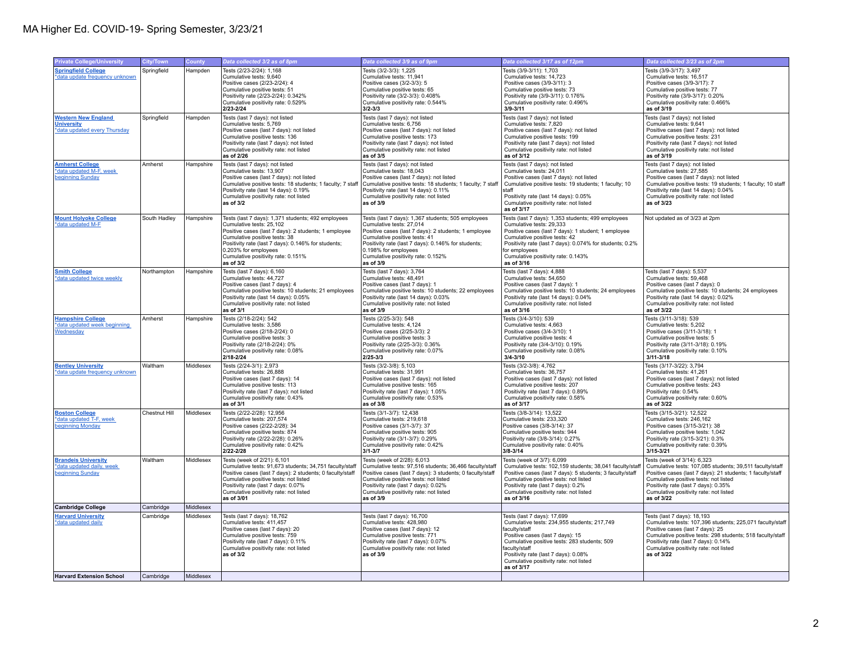| <b>Private College/University</b><br><b>Springfield College</b><br>*data update frequency unknown<br><b>Western New England</b><br><b>University</b><br>*data updated every Thursday | City/Town<br>Springfield<br>Springfield<br>Amherst | <b>County</b><br>Hampden<br>Hampden<br>Hampshire | Data collected 3/2 as of 8pm<br>Tests (2/23-2/24): 1,168<br>Cumulative tests: 9.640<br>Positive cases (2/23-2/24): 4<br>Cumulative positive tests: 51<br>Positivity rate (2/23-2/24): 0.342%<br>Cumulative positivity rate: 0.529%<br>2/23-2/24<br>Tests (last 7 days): not listed<br>Cumulative tests: 5,769<br>Positive cases (last 7 days): not listed<br>Cumulative positive tests: 136<br>Positivity rate (last 7 days): not listed<br>Cumulative positivity rate: not listed<br>as of 2/26 | Data collected 3/9 as of 9pm<br>Tests (3/2-3/3): 1,225<br>Cumulative tests: 11.941<br>Positive cases (3/2-3/3): 5<br>Cumulative positive tests: 65<br>Positivity rate (3/2-3/3): 0.408%<br>Cumulative positivity rate: 0.544%<br>3/2-3/3<br>Tests (last 7 days): not listed<br>Cumulative tests: 6,756<br>Positive cases (last 7 days): not listed<br>Cumulative positive tests: 173<br>Positivity rate (last 7 days): not listed<br>Cumulative positivity rate: not listed | Data collected 3/17 as of 12pm<br>Tests (3/9-3/11): 1,703<br>Cumulative tests: 14.723<br>Positive cases (3/9-3/11): 3<br>Cumulative positive tests: 73<br>Positivity rate (3/9-3/11): 0.176%<br>Cumulative positivity rate: 0.496%<br>$3/9 - 3/11$<br>Tests (last 7 days): not listed<br>Cumulative tests: 7,820<br>Positive cases (last 7 days): not listed | Data collected 3/23 as of 2pm<br>Tests (3/9-3/17): 3,497<br>Cumulative tests: 16.517<br>Positive cases (3/9-3/17): 7<br>Cumulative positive tests: 77<br>Positivity rate (3/9-3/17): 0.20%<br>Cumulative positivity rate: 0.466%<br>as of 3/19<br>Tests (last 7 days): not listed<br>Cumulative tests: 9,641<br>Positive cases (last 7 days): not listed |
|--------------------------------------------------------------------------------------------------------------------------------------------------------------------------------------|----------------------------------------------------|--------------------------------------------------|--------------------------------------------------------------------------------------------------------------------------------------------------------------------------------------------------------------------------------------------------------------------------------------------------------------------------------------------------------------------------------------------------------------------------------------------------------------------------------------------------|-----------------------------------------------------------------------------------------------------------------------------------------------------------------------------------------------------------------------------------------------------------------------------------------------------------------------------------------------------------------------------------------------------------------------------------------------------------------------------|--------------------------------------------------------------------------------------------------------------------------------------------------------------------------------------------------------------------------------------------------------------------------------------------------------------------------------------------------------------|----------------------------------------------------------------------------------------------------------------------------------------------------------------------------------------------------------------------------------------------------------------------------------------------------------------------------------------------------------|
|                                                                                                                                                                                      |                                                    |                                                  |                                                                                                                                                                                                                                                                                                                                                                                                                                                                                                  |                                                                                                                                                                                                                                                                                                                                                                                                                                                                             |                                                                                                                                                                                                                                                                                                                                                              |                                                                                                                                                                                                                                                                                                                                                          |
|                                                                                                                                                                                      |                                                    |                                                  |                                                                                                                                                                                                                                                                                                                                                                                                                                                                                                  |                                                                                                                                                                                                                                                                                                                                                                                                                                                                             |                                                                                                                                                                                                                                                                                                                                                              |                                                                                                                                                                                                                                                                                                                                                          |
|                                                                                                                                                                                      |                                                    |                                                  |                                                                                                                                                                                                                                                                                                                                                                                                                                                                                                  | as of 3/5                                                                                                                                                                                                                                                                                                                                                                                                                                                                   | Cumulative positive tests: 199<br>Positivity rate (last 7 days): not listed<br>Cumulative positivity rate: not listed<br>as of 3/12                                                                                                                                                                                                                          | Cumulative positive tests: 231<br>Positivity rate (last 7 days): not listed<br>Cumulative positivity rate: not listed<br>as of 3/19                                                                                                                                                                                                                      |
| <b>Amherst College</b><br>*data updated M-F, week<br>beginning Sunday                                                                                                                |                                                    |                                                  | Tests (last 7 days): not listed<br>Cumulative tests: 13,907<br>Positive cases (last 7 days): not listed<br>Cumulative positive tests: 18 students; 1 faculty; 7 staff<br>Positivity rate (last 14 days): 0.19%<br>Cumulative positivity rate: not listed<br>as of 3/2                                                                                                                                                                                                                            | Tests (last 7 days): not listed<br>Cumulative tests: 18,043<br>Positive cases (last 7 days): not listed<br>Cumulative positive tests: 18 students; 1 faculty; 7 staff<br>Positivity rate (last 14 days): 0.11%<br>Cumulative positivity rate: not listed<br>as of 3/9                                                                                                                                                                                                       | Tests (last 7 days): not listed<br>Cumulative tests: 24,011<br>Positive cases (last 7 days): not listed<br>Cumulative positive tests: 19 students; 1 faculty; 10<br>staff<br>Positivity rate (last 14 days): 0.05%<br>Cumulative positivity rate: not listed<br>as of 3/17                                                                                   | Tests (last 7 days): not listed<br>Cumulative tests: 27,585<br>Positive cases (last 7 days): not listed<br>Cumulative positive tests: 19 students; 1 faculty; 10 staff<br>Positivity rate (last 14 days): 0.04%<br>Cumulative positivity rate: not listed<br>as of 3/23                                                                                  |
| <b>Mount Holyoke College</b><br>*data updated M-F                                                                                                                                    | South Hadley                                       | Hampshire                                        | Tests (last 7 days): 1,371 students; 492 employees<br>Cumulative tests: 25,102<br>Positive cases (last 7 days): 2 students; 1 employee<br>Cumulative positive tests: 38<br>Positivity rate (last 7 days): 0.146% for students;<br>0.203% for employees<br>Cumulative positivity rate: 0.151%<br>as of $3/2$                                                                                                                                                                                      | Tests (last 7 days): 1,367 students; 505 employees<br>Cumulative tests: 27,014<br>Positive cases (last 7 days): 2 students; 1 employee<br>Cumulative positive tests: 41<br>Positivity rate (last 7 days): 0.146% for students;<br>0.198% for employees<br>Cumulative positivity rate: 0.152%<br>as of 3/9                                                                                                                                                                   | Tests (last 7 days): 1,353 students; 499 employees<br>Cumulative tests: 29,333<br>Positive cases (last 7 days): 1 student; 1 employee<br>Cumulative positive tests: 42<br>Positivity rate (last 7 days): 0.074% for students; 0.2%<br>for employees<br>Cumulative positivity rate: 0.143%<br>as of 3/16                                                      | Not updated as of 3/23 at 2pm                                                                                                                                                                                                                                                                                                                            |
| <b>Smith College</b><br>*data updated twice weekly                                                                                                                                   | Northampton                                        | Hampshire                                        | Tests (last 7 days): 6,160<br>Cumulative tests: 44,727<br>Positive cases (last 7 days): 4<br>Cumulative positive tests: 10 students; 21 employees<br>Positivity rate (last 14 days): 0.05%<br>Cumulative positivity rate: not listed<br>as of 3/1                                                                                                                                                                                                                                                | Tests (last 7 days): 3,764<br>Cumulative tests: 48,491<br>Positive cases (last 7 days): 1<br>Cumulative positive tests: 10 students; 22 employees<br>Positivity rate (last 14 days): 0.03%<br>Cumulative positivity rate: not listed<br>as of 3/9                                                                                                                                                                                                                           | Tests (last 7 days): 4,888<br>Cumulative tests: 54,650<br>Positive cases (last 7 days): 1<br>Cumulative positive tests: 10 students; 24 employees<br>Positivity rate (last 14 days): 0.04%<br>Cumulative positivity rate: not listed<br>as of 3/16                                                                                                           | Tests (last 7 days): 5,537<br>Cumulative tests: 59,468<br>Positive cases (last 7 days): 0<br>Cumulative positive tests: 10 students; 24 employees<br>Positivity rate (last 14 days): 0.02%<br>Cumulative positivity rate: not listed<br>as of 3/22                                                                                                       |
| <b>Hampshire College</b><br>*data updated week beginning<br>Wednesday                                                                                                                | Amherst                                            | Hampshire                                        | Tests (2/18-2/24): 542<br>Cumulative tests: 3,586<br>Positive cases (2/18-2/24): 0<br>Cumulative positive tests: 3<br>Positivity rate (2/18-2/24): 0%<br>Cumulative positivity rate: 0.08%<br>2/18-2/24                                                                                                                                                                                                                                                                                          | Tests (2/25-3/3): 548<br>Cumulative tests: 4,124<br>Positive cases (2/25-3/3): 2<br>Cumulative positive tests: 3<br>Positivity rate (2/25-3/3): 0.36%<br>Cumulative positivity rate: 0.07%<br>2/25-3/3                                                                                                                                                                                                                                                                      | Tests (3/4-3/10): 539<br>Cumulative tests: 4,663<br>Positive cases (3/4-3/10): 1<br>Cumulative positive tests: 4<br>Positivity rate (3/4-3/10): 0.19%<br>Cumulative positivity rate: 0.08%<br>$3/4 - 3/10$                                                                                                                                                   | Tests (3/11-3/18): 539<br>Cumulative tests: 5,202<br>Positive cases (3/11-3/18): 1<br>Cumulative positive tests: 5<br>Positivity rate (3/11-3/18): 0.19%<br>Cumulative positivity rate: 0.10%<br>$3/11 - 3/18$                                                                                                                                           |
| <b>Bentley University</b><br>*data update frequency unknown                                                                                                                          | Waltham                                            | Middlesex                                        | Tests (2/24-3/1): 2,973<br>Cumulative tests: 26,888<br>Positive cases (last 7 days): 14<br>Cumulative positive tests: 113<br>Positivity rate (last 7 days): not listed<br>Cumulative positivity rate: 0.43%<br>as of 3/1                                                                                                                                                                                                                                                                         | Tests (3/2-3/8): 5,103<br>Cumulative tests: 31,991<br>Positive cases (last 7 days): not listed<br>Cumulative positive tests: 165<br>Positivity rate (last 7 days): 1.05%<br>Cumulative positivity rate: 0.53%<br>as of 3/8                                                                                                                                                                                                                                                  | Tests (3/2-3/8): 4,762<br>Cumulative tests: 36,757<br>Positive cases (last 7 days): not listed<br>Cumulative positive tests: 207<br>Positivity rate (last 7 days): 0.89%<br>Cumulative positivity rate: 0.58%<br>as of 3/17                                                                                                                                  | Tests (3/17-3/22): 3,794<br>Cumulative tests: 41,261<br>Positive cases (last 7 days): not listed<br>Cumulative positive tests: 243<br>Positivity rate: 0.54%<br>Cumulative positivity rate: 0.60%<br>as of 3/22                                                                                                                                          |
| <b>Boston College</b><br>*data updated T-F, week<br>beginning Monday                                                                                                                 | Chestnut Hill                                      | Middlesex                                        | Tests (2/22-2/28): 12,956<br>Cumulative tests: 207,574<br>Positive cases (2/22-2/28): 34<br>Cumulative positive tests: 874<br>Positivity rate (2/22-2/28): 0.26%<br>Cumulative positivity rate: 0.42%<br>2/22-2/28                                                                                                                                                                                                                                                                               | Tests (3/1-3/7): 12,438<br>Cumulative tests: 219,618<br>Positive cases (3/1-3/7): 37<br>Cumulative positive tests: 905<br>Positivity rate (3/1-3/7): 0.29%<br>Cumulative positivity rate: 0.42%<br>3/1-3/7                                                                                                                                                                                                                                                                  | Tests (3/8-3/14): 13,522<br>Cumulative tests: 233,320<br>Positive cases (3/8-3/14): 37<br>Cumulative positive tests: 944<br>Positivity rate (3/8-3/14): 0.27%<br>Cumulative positivity rate: 0.40%<br>$3/8 - 3/14$                                                                                                                                           | Tests (3/15-3/21): 12,522<br>Cumulative tests: 246,162<br>Positive cases (3/15-3/21): 38<br>Cumulative positive tests: 1,042<br>Positivity rate (3/15-3/21): 0.3%<br>Cumulative positivity rate: 0.39%<br>$3/15 - 3/21$                                                                                                                                  |
| <b>Brandels University</b><br>*data updated daily, week<br>beginning Sunday                                                                                                          | Waltham                                            | Middlesex                                        | Tests (week of 2/21): 6,101<br>Cumulative tests: 91,673 students; 34,751 faculty/staff<br>Positive cases (last 7 days): 2 students; 0 faculty/staff<br>Cumulative positive tests: not listed<br>Positivity rate (last 7 days: 0.07%<br>Cumulative positivity rate: not listed<br>as of 3/01                                                                                                                                                                                                      | Tests (week of 2/28): 6,013<br>Cumulative tests: 97,516 students; 36,466 faculty/staff<br>Positive cases (last 7 days): 3 students; 0 faculty/staff<br>Cumulative positive tests: not listed<br>Positivity rate (last 7 days): 0.02%<br>Cumulative positivity rate: not listed<br>as of 3/9                                                                                                                                                                                 | Tests (week of 3/7): 6,099<br>Cumulative tests: 102,159 students; 38,041 faculty/staff<br>Positive cases (last 7 days): 5 students; 3 faculty/staff<br>Cumulative positive tests: not listed<br>Positivity rate (last 7 days): 0.2%<br>Cumulative positivity rate: not listed<br>as of 3/16                                                                  | Tests (week of 3/14): 6,323<br>Cumulative tests: 107,085 students; 39,511 faculty/staff<br>Positive cases (last 7 days): 21 students; 1 faculty/staff<br>Cumulative positive tests: not listed<br>Positivity rate (last 7 days): 0.35%<br>Cumulative positivity rate: not listed<br>as of 3/22                                                           |
| <b>Cambridge College</b>                                                                                                                                                             | Cambridge                                          | Middlesex                                        |                                                                                                                                                                                                                                                                                                                                                                                                                                                                                                  |                                                                                                                                                                                                                                                                                                                                                                                                                                                                             |                                                                                                                                                                                                                                                                                                                                                              |                                                                                                                                                                                                                                                                                                                                                          |
| <b>Harvard University</b><br>*data updated daily<br><b>Harvard Extension School</b>                                                                                                  | Cambridge<br>Cambridge                             | Middlesex<br>Middlesex                           | Tests (last 7 days): 18,762<br>Cumulative tests: 411,457<br>Positive cases (last 7 days): 20<br>Cumulative positive tests: 759<br>Positivity rate (last 7 days): 0.11%<br>Cumulative positivity rate: not listed<br>as of 3/2                                                                                                                                                                                                                                                                    | Tests (last 7 days): 16,700<br>Cumulative tests: 428,980<br>Positive cases (last 7 days): 12<br>Cumulative positive tests: 771<br>Positivity rate (last 7 days): 0.07%<br>Cumulative positivity rate: not listed<br>as of 3/9                                                                                                                                                                                                                                               | Tests (last 7 days): 17,699<br>Cumulative tests: 234,955 students; 217,749<br>faculty/staff<br>Positive cases (last 7 days): 15<br>Cumulative positive tests: 283 students; 509<br>faculty/staff<br>Positivity rate (last 7 days): 0.08%<br>Cumulative positivity rate: not listed<br>as of 3/17                                                             | Tests (last 7 days): 18,193<br>Cumulative tests: 107,396 students; 225,071 faculty/staff<br>Positive cases (last 7 days): 25<br>Cumulative positive tests: 298 students; 518 faculty/staff<br>Positivity rate (last 7 days): 0.14%<br>Cumulative positivity rate: not listed<br>as of 3/22                                                               |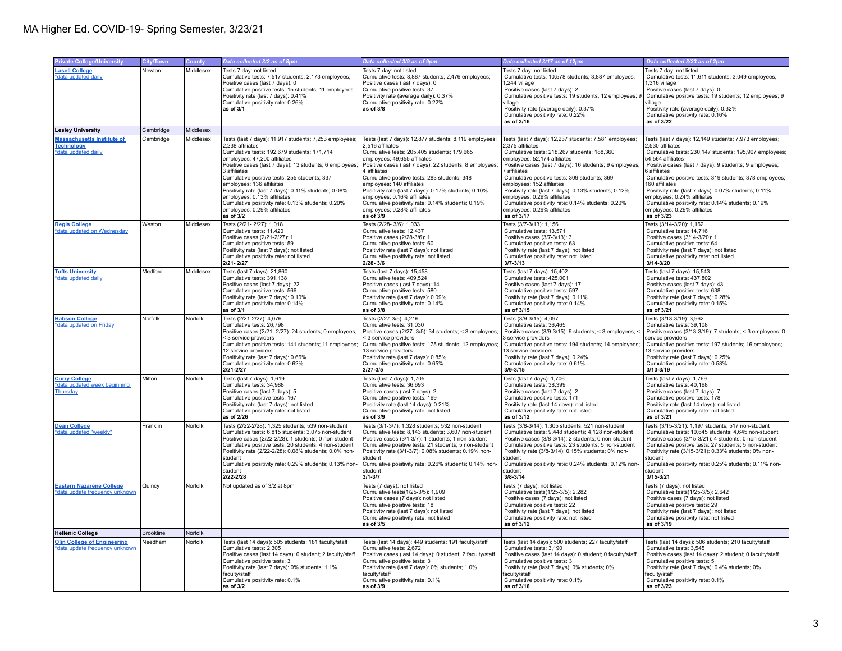| <b>Private College/University</b>                                             | City/Town        | County    | Data collected 3/2 as of 8pm                                                                                                                                                                                                                                                                                                                                                                                                                                                                              | Data collected 3/9 as of 9pm                                                                                                                                                                                                                                                                                                                                                                                                                                                                              | Data collected 3/17 as of 12pm                                                                                                                                                                                                                                                                                                                                                                                                                                                                             | Data collected 3/23 as of 2pm                                                                                                                                                                                                                                                                                                                                                                                                                                                                             |
|-------------------------------------------------------------------------------|------------------|-----------|-----------------------------------------------------------------------------------------------------------------------------------------------------------------------------------------------------------------------------------------------------------------------------------------------------------------------------------------------------------------------------------------------------------------------------------------------------------------------------------------------------------|-----------------------------------------------------------------------------------------------------------------------------------------------------------------------------------------------------------------------------------------------------------------------------------------------------------------------------------------------------------------------------------------------------------------------------------------------------------------------------------------------------------|------------------------------------------------------------------------------------------------------------------------------------------------------------------------------------------------------------------------------------------------------------------------------------------------------------------------------------------------------------------------------------------------------------------------------------------------------------------------------------------------------------|-----------------------------------------------------------------------------------------------------------------------------------------------------------------------------------------------------------------------------------------------------------------------------------------------------------------------------------------------------------------------------------------------------------------------------------------------------------------------------------------------------------|
| <b>Lasell College</b><br>*data updated daily                                  | Newton           | Middlesex | Tests 7 day: not listed<br>Cumulative tests: 7,517 students; 2,173 employees;<br>Positive cases (last 7 days): 0<br>Cumulative positive tests: 15 students; 11 employees<br>Positivity rate (last 7 days): 0.41%<br>Cumulative positivity rate: 0.26%<br>as of 3/1                                                                                                                                                                                                                                        | Tests 7 day: not listed<br>Cumulative tests: 8,887 students; 2,476 employees;<br>Positive cases (last 7 days): 0<br>Cumulative positive tests: 37<br>Positivity rate (average daily): 0.37%<br>Cumulative positivity rate: 0.22%<br>as of 3/8                                                                                                                                                                                                                                                             | Tests 7 day: not listed<br>Cumulative tests: 10,578 students; 3,887 employees;<br>1,244 village<br>Positive cases (last 7 days): 2<br>Cumulative positive tests: 19 students; 12 employees;<br>village<br>Positivity rate (average daily): 0.37%<br>Cumulative positivity rate: 0.22%<br>as of 3/16                                                                                                                                                                                                        | Tests 7 day: not listed<br>Cumulative tests: 11,611 students; 3,049 employees;<br>1,316 village<br>Positive cases (last 7 days): 0<br>Cumulative positive tests: 19 students; 12 employees; 9<br>village<br>Positivity rate (average daily): 0.32%<br>Cumulative positivity rate: 0.16%<br>as of 3/22                                                                                                                                                                                                     |
| <b>Lesley University</b>                                                      | Cambridge        | Middlesex |                                                                                                                                                                                                                                                                                                                                                                                                                                                                                                           |                                                                                                                                                                                                                                                                                                                                                                                                                                                                                                           |                                                                                                                                                                                                                                                                                                                                                                                                                                                                                                            |                                                                                                                                                                                                                                                                                                                                                                                                                                                                                                           |
| <b>Massachusetts Institute of</b><br><b>Technology</b><br>*data updated daily | Cambridge        | Middlesex | Tests (last 7 days): 11,917 students; 7,253 employees;<br>2.238 affiliates<br>Cumulative tests: 192,679 students; 171,714<br>employees; 47,200 affiliates<br>Positive cases (last 7 days): 13 students; 6 employees;<br>3 affiliates<br>Cumulative positive tests: 255 students; 337<br>employees; 136 affiliates<br>Positivity rate (last 7 days): 0.11% students; 0.08%<br>employees; 0.13% affiliates<br>Cumulative positivity rate: 0.13% students; 0.20%<br>employees: 0.29% affiliates<br>as of 3/2 | Tests (last 7 days): 12,877 students; 8,119 employees;<br>2,516 affiliates<br>Cumulative tests: 205,405 students; 179,665<br>employees; 49,655 affiliates<br>Positive cases (last 7 days): 22 students; 8 employees;<br>4 affiliates<br>Cumulative positive tests: 283 students; 348<br>employees; 140 affiliates<br>Positivity rate (last 7 days): 0.17% students; 0.10%<br>employees; 0.16% affiliates<br>Cumulative positivity rate: 0.14% students; 0.19%<br>employees: 0.28% affiliates<br>as of 3/9 | Tests (last 7 days): 12,237 students; 7,581 employees;<br>2,375 affiliates<br>Cumulative tests: 218,267 students; 188,360<br>employees; 52,174 affiliates<br>Positive cases (last 7 days): 16 students; 9 employees;<br>7 affiliates<br>Cumulative positive tests: 309 students; 369<br>employees; 152 affiliates<br>Positivity rate (last 7 days): 0.13% students; 0.12%<br>employees; 0.29% affiliates<br>Cumulative positivity rate: 0.14% students; 0.20%<br>employees: 0.29% affiliates<br>as of 3/17 | Tests (last 7 days): 12,149 students; 7,973 employees;<br>2.530 affiliates<br>Cumulative tests: 230,147 students; 195,907 employees;<br>54,564 affiliates<br>Positive cases (last 7 days): 9 students; 9 employees;<br>6 affiliates<br>Cumulative positive tests: 319 students; 378 employees;<br>160 affiliates<br>Positivity rate (last 7 days): 0.07% students; 0.11%<br>employees; 0.24% affiliates<br>Cumulative positivity rate: 0.14% students; 0.19%<br>employees: 0.29% affiliates<br>as of 3/23 |
| <b>Regis College</b><br>*data updated on Wednesday                            | Weston           | Middlesex | Tests (2/21-2/27): 1,018<br>Cumulative tests: 11.420<br>Positive cases (2/21-2/27): 1<br>Cumulative positive tests: 59<br>Positivity rate (last 7 days): not listed<br>Cumulative positivity rate: not listed<br>2/21-2/27                                                                                                                                                                                                                                                                                | Tests (2/28-3/6): 1,033<br>Cumulative tests: 12.437<br>Positive cases (2/28-3/6): 1<br>Cumulative positive tests: 60<br>Positivity rate (last 7 days): not listed<br>Cumulative positivity rate: not listed<br>2/28-3/6                                                                                                                                                                                                                                                                                   | Tests (3/7-3/13): 1,156<br>Cumulative tests: 13.571<br>Positive cases (3/7-3/13): 3<br>Cumulative positive tests: 63<br>Positivity rate (last 7 days): not listed<br>Cumulative positivity rate: not listed<br>$3/7 - 3/13$                                                                                                                                                                                                                                                                                | Tests (3/14-3/20): 1,162<br>Cumulative tests: 14.716<br>Positive cases (3/14-3/20): 1<br>Cumulative positive tests: 64<br>Positivity rate (last 7 days): not listed<br>Cumulative positivity rate: not listed<br>$3/14 - 3/20$                                                                                                                                                                                                                                                                            |
| <b>Tufts University</b><br>*data updated daily                                | Medford          | Middlesex | Tests (last 7 days): 21,860<br>Cumulative tests: 391,138<br>Positive cases (last 7 days): 22<br>Cumulative positive tests: 566<br>Positivity rate (last 7 days): 0.10%<br>Cumulative positivity rate: 0.14%<br>as of 3/1                                                                                                                                                                                                                                                                                  | Tests (last 7 days): 15,458<br>Cumulative tests: 409,524<br>Positive cases (last 7 days): 14<br>Cumulative positive tests: 580<br>Positivity rate (last 7 days): 0.09%<br>Cumulative positivity rate: 0.14%<br>as of 3/8                                                                                                                                                                                                                                                                                  | Tests (last 7 days): 15,402<br>Cumulative tests: 425,001<br>Positive cases (last 7 days): 17<br>Cumulative positive tests: 597<br>Positivity rate (last 7 days): 0.11%<br>Cumulative positivity rate: 0.14%<br>as of 3/15                                                                                                                                                                                                                                                                                  | Tests (last 7 days): 15,543<br>Cumulative tests: 437,802<br>Positive cases (last 7 days): 43<br>Cumulative positive tests: 638<br>Positivity rate (last 7 days): 0.28%<br>Cumulative positivity rate: 0.15%<br>as of 3/21                                                                                                                                                                                                                                                                                 |
| <b>Babson College</b><br>*data updated on Friday                              | Norfolk          | Norfolk   | Tests (2/21-2/27): 4,076<br>Cumulative tests: 26,798<br>Positive cases (2/21- 2/27): 24 students; 0 employees;<br>< 3 service providers<br>Cumulative positive tests: 141 students; 11 employees;<br>12 service providers<br>Positivity rate (last 7 days): 0.66%<br>Cumulative positivity rate: 0.62%<br>2/21-2/27                                                                                                                                                                                       | Tests (2/27-3/5): 4,216<br>Cumulative tests: 31,030<br>Positive cases (2/27-3/5): 34 students; < 3 employees;<br>< 3 service providers<br>Cumulative positive tests: 175 students; 12 employees;<br>13 service providers<br>Positivity rate (last 7 days): 0.85%<br>Cumulative positivity rate: 0.65%<br>2/27-3/5                                                                                                                                                                                         | Tests (3/9-3/15): 4.097<br>Cumulative tests: 36,465<br>Positive cases (3/9-3/15): 9 students; < 3 employees;<br>3 service providers<br>Cumulative positive tests: 194 students; 14 employees<br>13 service providers<br>Positivity rate (last 7 days): 0.24%<br>Cumulative positivity rate: 0.61%<br>$3/9 - 3/15$                                                                                                                                                                                          | Tests (3/13-3/19): 3.962<br>Cumulative tests: 39,108<br>Positive cases (3/13-3/19): 7 students; < 3 employees; 0<br>service providers<br>Cumulative positive tests: 197 students; 16 employees;<br>13 service providers<br>Positivity rate (last 7 days): 0.25%<br>Cumulative positivity rate: 0.58%<br>$3/13 - 3/19$                                                                                                                                                                                     |
| <b>Curry College</b><br>*data updated week beginning<br>Thursday              | Milton           | Norfolk   | Tests (last 7 days): 1,619<br>Cumulative tests: 34,988<br>Positive cases (last 7 days): 5<br>Cumulative positive tests: 167<br>Positivity rate (last 7 days): not listed<br>Cumulative positivity rate: not listed<br>as of 2/26                                                                                                                                                                                                                                                                          | Tests (last 7 days): 1,705<br>Cumulative tests: 36,693<br>Positive cases (last 7 days): 2<br>Cumulative positive tests: 169<br>Positivity rate (last 14 days): 0.21%<br>Cumulative positivity rate: not listed<br>as of 3/9                                                                                                                                                                                                                                                                               | Tests (last 7 days): 1,706<br>Cumulative tests: 38,399<br>Positive cases (last 7 days): 2<br>Cumulative positive tests: 171<br>Positivity rate (last 14 days): not listed<br>Cumulative positivity rate: not listed<br>as of 3/12                                                                                                                                                                                                                                                                          | Tests (last 7 days): 1,769<br>Cumulative tests: 40,168<br>Positive cases (last 7 days): 7<br>Cumulative positive tests: 178<br>Positivity rate (last 14 days): not listed<br>Cumulative positivity rate: not listed<br>as of 3/21                                                                                                                                                                                                                                                                         |
| <b>Dean College</b><br>*data updated "weekly'                                 | Franklin         | Norfolk   | Tests (2/22-2/28): 1,325 students; 539 non-student<br>Cumulative tests: 6,815 students; 3,075 non-student<br>Positive cases (2/22-2/28): 1 students; 0 non-student<br>Cumulative positive tests: 20 students; 4 non-student<br>Positivity rate (2/22-2/28): 0.08% students; 0.0% non-<br>student<br>Cumulative positivity rate: 0.29% students; 0.13% non-<br>student<br>2/22-2/28                                                                                                                        | Tests (3/1-3/7): 1,328 students; 532 non-student<br>Cumulative tests: 8,143 students; 3,607 non-student<br>Positive cases (3/1-3/7): 1 students: 1 non-student<br>Cumulative positive tests: 21 students; 5 non-student<br>Positivity rate (3/1-3/7): 0.08% students; 0.19% non-<br>student<br>Cumulative positivity rate: 0.26% students; 0.14% non-<br>student<br>$3/1 - 3/7$                                                                                                                           | Tests (3/8-3/14): 1,305 students; 521 non-student<br>Cumulative tests: 9,448 students; 4,128 non-student<br>Positive cases (3/8-3/14): 2 students: 0 non-student<br>Cumulative positive tests: 23 students; 5 non-student<br>Positivity rate (3/8-3/14): 0.15% students; 0% non-<br>student<br>Cumulative positivity rate: 0.24% students; 0.12% non-<br>student<br>$3/8 - 3/14$                                                                                                                           | Tests (3/15-3/21): 1,197 students; 517 non-student<br>Cumulative tests: 10,645 students; 4,645 non-student<br>Positive cases (3/15-3/21): 4 students: 0 non-student<br>Cumulative positive tests: 27 students; 5 non-student<br>Positivity rate (3/15-3/21): 0.33% students; 0% non-<br>student<br>Cumulative positivity rate: 0.25% students; 0.11% non-<br>student<br>3/15-3/21                                                                                                                         |
| <b>Eastern Nazarene College</b><br>*data update frequency unknown             | Quincy           | Norfolk   | Not updated as of 3/2 at 8pm                                                                                                                                                                                                                                                                                                                                                                                                                                                                              | Tests (7 days): not listed<br>Cumulative tests (1/25-3/5): 1,909<br>Positive cases (7 days): not listed<br>Cumulative positive tests: 18<br>Positivity rate (last 7 days): not listed<br>Cumulative positivity rate: not listed<br>as of 3/5                                                                                                                                                                                                                                                              | Tests (7 days): not listed<br>Cumulative tests (1/25-3/5): 2,282<br>Positive cases (7 days): not listed<br>Cumulative positive tests: 22<br>Positivity rate (last 7 days): not listed<br>Cumulative positivity rate: not listed<br>as of 3/12                                                                                                                                                                                                                                                              | Tests (7 days): not listed<br>Cumulative tests (1/25-3/5): 2,642<br>Positive cases (7 days): not listed<br>Cumulative positive tests: 29<br>Positivity rate (last 7 days): not listed<br>Cumulative positivity rate: not listed<br>as of 3/19                                                                                                                                                                                                                                                             |
| <b>Hellenic College</b>                                                       | <b>Brookline</b> | Norfolk   |                                                                                                                                                                                                                                                                                                                                                                                                                                                                                                           |                                                                                                                                                                                                                                                                                                                                                                                                                                                                                                           |                                                                                                                                                                                                                                                                                                                                                                                                                                                                                                            |                                                                                                                                                                                                                                                                                                                                                                                                                                                                                                           |
| <b>Olin College of Engineering</b><br>*data update frequency unknown          | Needham          | Norfolk   | Tests (last 14 days): 505 students; 181 faculty/staff<br>Cumulative tests: 2,305<br>Positive cases (last 14 days): 0 student; 2 faculty/staff<br>Cumulative positive tests: 3<br>Positivity rate (last 7 days): 0% students; 1.1%<br>faculty/staff<br>Cumulative positivity rate: 0.1%<br>as of 3/2                                                                                                                                                                                                       | Tests (last 14 days): 449 students; 191 faculty/staff<br>Cumulative tests: 2,672<br>Positive cases (last 14 days): 0 student; 2 faculty/staff<br>Cumulative positive tests: 3<br>Positivity rate (last 7 days): 0% students; 1.0%<br>faculty/staff<br>Cumulative positivity rate: 0.1%<br>as of 3/9                                                                                                                                                                                                       | Tests (last 14 days): 500 students; 227 faculty/staff<br>Cumulative tests: 3,190<br>Positive cases (last 14 days): 0 student; 0 faculty/staff<br>Cumulative positive tests: 3<br>Positivity rate (last 7 days): 0% students; 0%<br>faculty/staff<br>Cumulative positivity rate: 0.1%<br>as of 3/16                                                                                                                                                                                                         | Tests (last 14 days): 506 students; 210 faculty/staff<br>Cumulative tests: 3,545<br>Positive cases (last 14 days): 2 student; 0 faculty/staff<br>Cumulative positive tests: 5<br>Positivity rate (last 7 days): 0.4% students; 0%<br>faculty/staff<br>Cumulative positivity rate: 0.1%<br>as of 3/23                                                                                                                                                                                                      |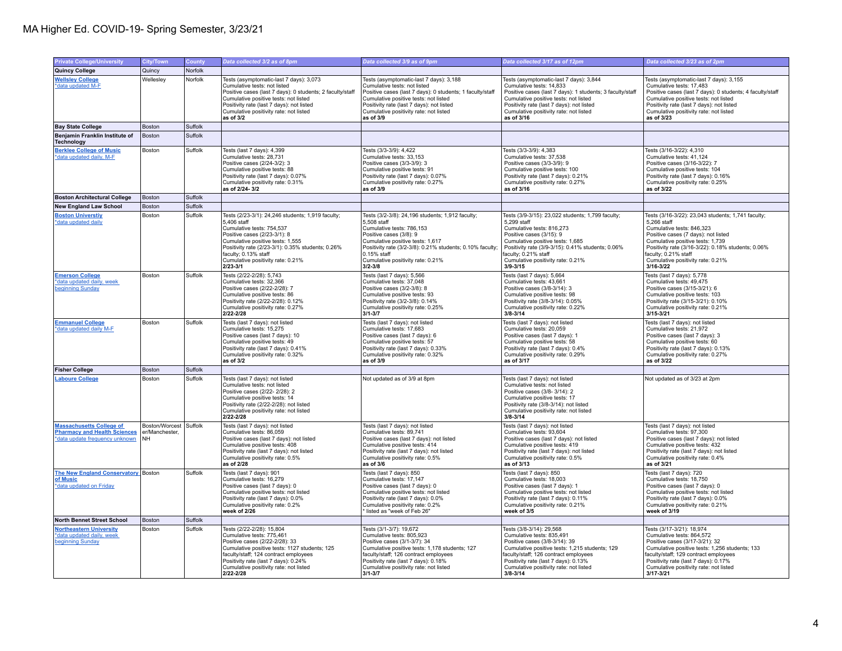## MA Higher Ed. COVID-19- Spring Semester, 3/23/21

| <b>Private College/University</b>                                                                        | City/Town                                             | County  | Data collected 3/2 as of 8pm                                                                                                                                                                                                                                                                    | Data collected 3/9 as of 9pm                                                                                                                                                                                                                                                                | Data collected 3/17 as of 12pm                                                                                                                                                                                                                                                                  | Data collected 3/23 as of 2pm                                                                                                                                                                                                                                                                             |
|----------------------------------------------------------------------------------------------------------|-------------------------------------------------------|---------|-------------------------------------------------------------------------------------------------------------------------------------------------------------------------------------------------------------------------------------------------------------------------------------------------|---------------------------------------------------------------------------------------------------------------------------------------------------------------------------------------------------------------------------------------------------------------------------------------------|-------------------------------------------------------------------------------------------------------------------------------------------------------------------------------------------------------------------------------------------------------------------------------------------------|-----------------------------------------------------------------------------------------------------------------------------------------------------------------------------------------------------------------------------------------------------------------------------------------------------------|
| Quincy College                                                                                           | Quincy                                                | Norfolk |                                                                                                                                                                                                                                                                                                 |                                                                                                                                                                                                                                                                                             |                                                                                                                                                                                                                                                                                                 |                                                                                                                                                                                                                                                                                                           |
| <b>Wellsley College</b><br>*data updated M-F                                                             | Welleslev                                             | Norfolk | Tests (asymptomatic-last 7 days): 3,073<br>Cumulative tests: not listed<br>Positive cases (last 7 days): 0 students; 2 faculty/staff<br>Cumulative positive tests: not listed<br>Positivity rate (last 7 days): not listed<br>Cumulative positivity rate: not listed<br>as of 3/2               | Tests (asymptomatic-last 7 days): 3.188<br>Cumulative tests: not listed<br>Positive cases (last 7 days): 0 students; 1 faculty/staff<br>Cumulative positive tests: not listed<br>Positivity rate (last 7 days): not listed<br>Cumulative positivity rate: not listed<br>as of 3/9           | Tests (asymptomatic-last 7 days): 3.844<br>Cumulative tests: 14,833<br>Positive cases (last 7 days): 1 students; 3 faculty/staff<br>Cumulative positive tests: not listed<br>Positivity rate (last 7 days): not listed<br>Cumulative positivity rate: not listed<br>as of 3/16                  | Tests (asymptomatic-last 7 days): 3.155<br>Cumulative tests: 17,483<br>Positive cases (last 7 days): 0 students; 4 faculty/staff<br>Cumulative positive tests: not listed<br>Positivity rate (last 7 days): not listed<br>Cumulative positivity rate: not listed<br>as of 3/23                            |
| <b>Bay State College</b>                                                                                 | Boston                                                | Suffolk |                                                                                                                                                                                                                                                                                                 |                                                                                                                                                                                                                                                                                             |                                                                                                                                                                                                                                                                                                 |                                                                                                                                                                                                                                                                                                           |
| Benjamin Franklin Institute of<br>Technology                                                             | <b>Boston</b>                                         | Suffolk |                                                                                                                                                                                                                                                                                                 |                                                                                                                                                                                                                                                                                             |                                                                                                                                                                                                                                                                                                 |                                                                                                                                                                                                                                                                                                           |
| <b>Berklee College of Music</b><br>*data updated daily, M-F                                              | Boston                                                | Suffolk | Tests (last 7 days): 4,399<br>Cumulative tests: 28,731<br>Positive cases (2/24-3/2): 3<br>Cumulative positive tests: 88<br>Positivity rate (last 7 days): 0.07%<br>Cumulative positivity rate: 0.31%<br>as of 2/24-3/2                                                                          | Tests (3/3-3/9): 4,422<br>Cumulative tests: 33,153<br>Positive cases (3/3-3/9): 3<br>Cumulative positive tests: 91<br>Positivity rate (last 7 days): 0.07%<br>Cumulative positivity rate: 0.27%<br>as of 3/9                                                                                | Tests (3/3-3/9): 4,383<br>Cumulative tests: 37,538<br>Positive cases (3/3-3/9): 9<br>Cumulative positive tests: 100<br>Positivity rate (last 7 days): 0.21%<br>Cumulative positivity rate: 0.27%<br>as of 3/16                                                                                  | Tests (3/16-3/22): 4,310<br>Cumulative tests: 41,124<br>Positive cases (3/16-3/22): 7<br>Cumulative positive tests: 104<br>Positivity rate (last 7 days): 0.16%<br>Cumulative positivity rate: 0.25%<br>as of 3/22                                                                                        |
| <b>Boston Architectural College</b>                                                                      | Boston                                                | Suffolk |                                                                                                                                                                                                                                                                                                 |                                                                                                                                                                                                                                                                                             |                                                                                                                                                                                                                                                                                                 |                                                                                                                                                                                                                                                                                                           |
| <b>New England Law School</b>                                                                            | Boston                                                | Suffolk |                                                                                                                                                                                                                                                                                                 |                                                                                                                                                                                                                                                                                             |                                                                                                                                                                                                                                                                                                 |                                                                                                                                                                                                                                                                                                           |
| <b>Boston Universtiy</b><br>*data updated daily                                                          | Boston                                                | Suffolk | Tests (2/23-3/1): 24,246 students; 1,919 faculty;<br>5,406 staff<br>Cumulative tests: 754,537<br>Positive cases (2/23-3/1): 8<br>Cumulative positive tests: 1,555<br>Positivity rate (2/23-3/1): 0.35% students; 0.26%<br>faculty; 0.13% staff<br>Cumulative positivity rate: 0.21%<br>2/23-3/1 | Tests (3/2-3/8): 24,196 students; 1,912 faculty;<br>5,508 staff<br>Cumulative tests: 786,153<br>Positive cases (3/8): 9<br>Cumulative positive tests: 1,617<br>Positivity rate (3/2-3/8): 0.21% students; 0.10% faculty;<br>0.15% staff<br>Cumulative positivity rate: 0.21%<br>$3/2 - 3/8$ | Tests (3/9-3/15): 23,022 students; 1,799 faculty;<br>5,299 staff<br>Cumulative tests: 816.273<br>Positive cases (3/15): 9<br>Cumulative positive tests: 1,685<br>Positivity rate (3/9-3/15): 0.41% students; 0.06%<br>faculty; 0.21% staff<br>Cumulative positivity rate: 0.21%<br>$3/9 - 3/15$ | Tests (3/16-3/22): 23,043 students; 1,741 faculty;<br>5,266 staff<br>Cumulative tests: 846.323<br>Positive cases (7 days): not listed<br>Cumulative positive tests: 1,739<br>Positivity rate (3/16-3/22): 0.18% students; 0.06%<br>faculty; 0.21% staff<br>Cumulative positivity rate: 0.21%<br>3/16-3/22 |
| <b>Emerson College</b><br>*data updated daily, week<br>beginning Sunday                                  | Boston                                                | Suffolk | Tests (2/22-2/28): 5,743<br>Cumulative tests: 32,366<br>Positive cases (2/22-2/28): 7<br>Cumulative positive tests: 86<br>Positivity rate (2/22-2/28): 0.12%<br>Cumulative positivity rate: 0.27%<br>2/22-2/28                                                                                  | Tests (last 7 days): 5,566<br>Cumulative tests: 37,048<br>Positive cases (3/2-3/8): 8<br>Cumulative positive tests: 93<br>Positivity rate (3/2-3/8): 0.14%<br>Cumulative positivity rate: 0.25%<br>$3/1 - 3/7$                                                                              | Tests (last 7 days): 5,664<br>Cumulative tests: 43,661<br>Positive cases (3/8-3/14): 3<br>Cumulative positive tests: 98<br>Positivity rate (3/8-3/14): 0.05%<br>Cumulative positivity rate: 0.22%<br>$3/8 - 3/14$                                                                               | Tests (last 7 days): 5,778<br>Cumulative tests: 49,475<br>Positive cases (3/15-3/21): 6<br>Cumulative positive tests: 103<br>Positivity rate (3/15-3/21): 0.10%<br>Cumulative positivity rate: 0.21%<br>$3/15 - 3/21$                                                                                     |
| <b>Emmanuel College</b><br>*data updated daily M-F                                                       | Boston                                                | Suffolk | Tests (last 7 days): not listed<br>Cumulative tests: 15.275<br>Positive cases (last 7 days): 10<br>Cumulative positive tests: 49<br>Positivity rate (last 7 days): 0.41%<br>Cumulative positivity rate: 0.32%<br>as of 3/2                                                                      | Tests (last 7 days): not listed<br>Cumulative tests: 17.683<br>Positive cases (last 7 days): 6<br>Cumulative positive tests: 57<br>Positivity rate (last 7 days): 0.33%<br>Cumulative positivity rate: 0.32%<br>as of 3/9                                                                   | Tests (last 7 days): not listed<br>Cumulative tests: 20.059<br>Positive cases (last 7 days): 1<br>Cumulative positive tests: 58<br>Positivity rate (last 7 days): 0.4%<br>Cumulative positivity rate: 0.29%<br>as of 3/17                                                                       | Tests (last 7 days): not listed<br>Cumulative tests: 21.972<br>Positive cases (last 7 days): 3<br>Cumulative positive tests: 60<br>Positivity rate (last 7 days): 0.13%<br>Cumulative positivity rate: 0.27%<br>as of 3/22                                                                                |
| <b>Fisher College</b>                                                                                    | Boston                                                | Suffolk |                                                                                                                                                                                                                                                                                                 |                                                                                                                                                                                                                                                                                             |                                                                                                                                                                                                                                                                                                 |                                                                                                                                                                                                                                                                                                           |
| <b>Laboure College</b>                                                                                   | Boston                                                | Suffolk | Tests (last 7 days): not listed<br>Cumulative tests: not listed<br>Positive cases (2/22-2/28): 2<br>Cumulative positive tests: 14<br>Positivity rate (2/22-2/28): not listed<br>Cumulative positivity rate: not listed<br>$2/22 - 2/28$                                                         | Not updated as of 3/9 at 8pm                                                                                                                                                                                                                                                                | Tests (last 7 days): not listed<br>Cumulative tests: not listed<br>Positive cases (3/8-3/14): 2<br>Cumulative positive tests: 17<br>Positivity rate (3/8-3/14): not listed<br>Cumulative positivity rate: not listed<br>$3/8 - 3/14$                                                            | Not updated as of 3/23 at 2pm                                                                                                                                                                                                                                                                             |
| <b>Massachusetts College of</b><br><b>Pharmacy and Health Sciences</b><br>*data update frequency unknown | Boston/Worcest Suffolk<br>er/Manchester,<br><b>NH</b> |         | Tests (last 7 days): not listed<br>Cumulative tests: 86,059<br>Positive cases (last 7 days): not listed<br>Cumulative positive tests: 408<br>Positivity rate (last 7 days); not listed<br>Cumulative positivity rate: 0.5%<br>as of 2/28                                                        | Tests (last 7 days): not listed<br>Cumulative tests: 89,741<br>Positive cases (last 7 days): not listed<br>Cumulative positive tests: 414<br>Positivity rate (last 7 days); not listed<br>Cumulative positivity rate: 0.5%<br>as of 3/6                                                     | Tests (last 7 days): not listed<br>Cumulative tests: 93,604<br>Positive cases (last 7 days): not listed<br>Cumulative positive tests: 419<br>Positivity rate (last 7 days): not listed<br>Cumulative positivity rate: 0.5%<br>as of 3/13                                                        | Tests (last 7 days): not listed<br>Cumulative tests: 97,300<br>Positive cases (last 7 days): not listed<br>Cumulative positive tests: 432<br>Positivity rate (last 7 days): not listed<br>Cumulative positivity rate: 0.4%<br>as of 3/21                                                                  |
| The New England Conservatory Boston<br>of Music<br>*data updated on Friday                               |                                                       | Suffolk | Tests (last 7 days): 901<br>Cumulative tests: 16.279<br>Positive cases (last 7 days): 0<br>Cumulative positive tests: not listed<br>Positivity rate (last 7 days): 0.0%<br>Cumulative positivity rate: 0.2%<br>week of 2/26                                                                     | Tests (last 7 days): 850<br>Cumulative tests: 17.147<br>Positive cases (last 7 days): 0<br>Cumulative positive tests: not listed<br>Positivity rate (last 7 days): 0.0%<br>Cumulative positivity rate: 0.2%<br>listed as "week of Feb 26"                                                   | Tests (last 7 days): 850<br>Cumulative tests: 18,003<br>Positive cases (last 7 days): 1<br>Cumulative positive tests: not listed<br>Positivity rate (last 7 days): 0.11%<br>Cumulative positivity rate: 0.21%<br>week of 3/5                                                                    | Tests (last 7 days): 720<br>Cumulative tests: 18.750<br>Positive cases (last 7 days): 0<br>Cumulative positive tests: not listed<br>Positivity rate (last 7 days): 0.0%<br>Cumulative positivity rate: 0.21%<br>week of 3/19                                                                              |
| North Bennet Street School                                                                               | Boston                                                | Suffolk |                                                                                                                                                                                                                                                                                                 |                                                                                                                                                                                                                                                                                             |                                                                                                                                                                                                                                                                                                 |                                                                                                                                                                                                                                                                                                           |
| <b>Northeastern University</b><br>*data updated daily, week<br>beginning Sunday                          | Boston                                                | Suffolk | Tests (2/22-2/28): 15,804<br>Cumulative tests: 775.461<br>Positive cases (2/22-2/28): 33<br>Cumulative positive tests: 1127 students; 125<br>faculty/staff; 124 contract employees<br>Positivity rate (last 7 days): 0.24%<br>Cumulative positivity rate: not listed<br>2/22-2/28               | Tests (3/1-3/7): 19,672<br>Cumulative tests: 805.923<br>Positive cases (3/1-3/7): 34<br>Cumulative positive tests: 1,178 students; 127<br>faculty/staff; 126 contract employees<br>Positivity rate (last 7 days): 0.18%<br>Cumulative positivity rate: not listed<br>$3/1 - 3/7$            | Tests (3/8-3/14): 29,568<br>Cumulative tests: 835.491<br>Positive cases (3/8-3/14): 39<br>Cumulative positive tests: 1,215 students; 129<br>faculty/staff; 126 contract employees<br>Positivity rate (last 7 days): 0.13%<br>Cumulative positivity rate: not listed<br>$3/8 - 3/14$             | Tests (3/17-3/21): 18,974<br>Cumulative tests: 864.572<br>Positive cases (3/17-3/21): 32<br>Cumulative positive tests: 1,256 students; 133<br>faculty/staff; 129 contract employees<br>Positivity rate (last 7 days): 0.17%<br>Cumulative positivity rate: not listed<br>$3/17 - 3/21$                    |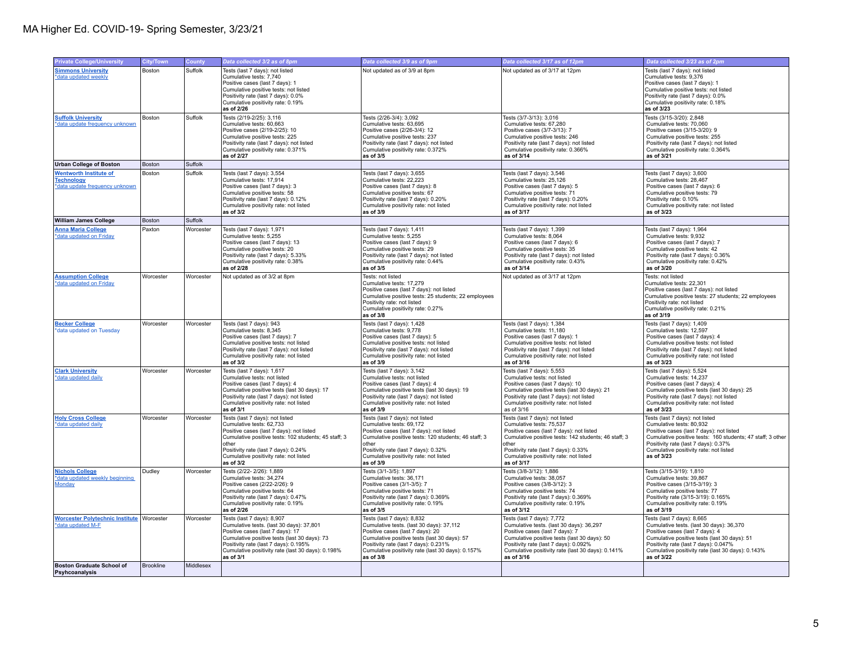| <b>Private College/University</b>                                                    | <b>City/Town</b> | <b>County</b> | Data collected 3/2 as of 8pm                                                                                                                                                                                                                                              | Data collected 3/9 as of 9pm                                                                                                                                                                                                                                            | Data collected 3/17 as of 12pm                                                                                                                                                                                                                                           | Data collected 3/23 as of 2pm                                                                                                                                                                                                                                         |
|--------------------------------------------------------------------------------------|------------------|---------------|---------------------------------------------------------------------------------------------------------------------------------------------------------------------------------------------------------------------------------------------------------------------------|-------------------------------------------------------------------------------------------------------------------------------------------------------------------------------------------------------------------------------------------------------------------------|--------------------------------------------------------------------------------------------------------------------------------------------------------------------------------------------------------------------------------------------------------------------------|-----------------------------------------------------------------------------------------------------------------------------------------------------------------------------------------------------------------------------------------------------------------------|
| <b>Simmons University</b><br>*data updated weekly                                    | Boston           | Suffolk       | Tests (last 7 days): not listed<br>Cumulative tests: 7,740<br>Positive cases (last 7 days): 1<br>Cumulative positive tests: not listed<br>Positivity rate (last 7 days): 0.0%<br>Cumulative positivity rate: 0.19%<br>as of 2/26                                          | Not updated as of 3/9 at 8pm                                                                                                                                                                                                                                            | Not updated as of 3/17 at 12pm                                                                                                                                                                                                                                           | Tests (last 7 days): not listed<br>Cumulative tests: 9,376<br>Positive cases (last 7 days): 1<br>Cumulative positive tests: not listed<br>Positivity rate (last 7 days): 0.0%<br>Cumulative positivity rate: 0.18%<br>as of 3/23                                      |
| <b>Suffolk University</b><br>*data update frequency unknown                          | Boston           | Suffolk       | Tests (2/19-2/25): 3,116<br>Cumulative tests: 60,663<br>Positive cases (2/19-2/25): 10<br>Cumulative positive tests: 225<br>Positivity rate (last 7 days): not listed<br>Cumulative positivity rate: 0.371%<br>as of 2/27                                                 | Tests (2/26-3/4): 3,092<br>Cumulative tests: 63,695<br>Positive cases (2/26-3/4): 12<br>Cumulative positive tests: 237<br>Positivity rate (last 7 days): not listed<br>Cumulative positivity rate: 0.372%<br>as of 3/5                                                  | Tests (3/7-3/13): 3,016<br>Cumulative tests: 67,280<br>Positive cases (3/7-3/13): 7<br>Cumulative positive tests: 246<br>Positivity rate (last 7 days): not listed<br>Cumulative positivity rate: 0.366%<br>as of 3/14                                                   | Tests (3/15-3/20): 2,848<br>Cumulative tests: 70,060<br>Positive cases (3/15-3/20): 9<br>Cumulative positive tests: 255<br>Positivity rate (last 7 days): not listed<br>Cumulative positivity rate: 0.364%<br>as of 3/21                                              |
| <b>Urban College of Boston</b>                                                       | Boston           | Suffolk       |                                                                                                                                                                                                                                                                           |                                                                                                                                                                                                                                                                         |                                                                                                                                                                                                                                                                          |                                                                                                                                                                                                                                                                       |
| <b>Wentworth Institute of</b><br><b>Technology</b><br>*data update frequency unknown | Boston           | Suffolk       | Tests (last 7 days): 3,554<br>Cumulative tests: 17,914<br>Positive cases (last 7 days): 3<br>Cumulative positive tests: 58<br>Positivity rate (last 7 days): 0.12%<br>Cumulative positivity rate: not listed<br>as of 3/2                                                 | Tests (last 7 days): 3,655<br>Cumulative tests: 22,223<br>Positive cases (last 7 days): 8<br>Cumulative positive tests: 67<br>Positivity rate (last 7 days): 0.20%<br>Cumulative positivity rate: not listed<br>as of 3/9                                               | Tests (last 7 days): 3,546<br>Cumulative tests: 25,126<br>Positive cases (last 7 days): 5<br>Cumulative positive tests: 71<br>Positivity rate (last 7 days): 0.20%<br>Cumulative positivity rate: not listed<br>as of 3/17                                               | Tests (last 7 days): 3,600<br>Cumulative tests: 28,467<br>Positive cases (last 7 days): 6<br>Cumulative positive tests: 79<br>Positivity rate: 0.10%<br>Cumulative positivity rate: not listed<br>as of 3/23                                                          |
| <b>William James College</b>                                                         | Boston           | Suffolk       |                                                                                                                                                                                                                                                                           |                                                                                                                                                                                                                                                                         |                                                                                                                                                                                                                                                                          |                                                                                                                                                                                                                                                                       |
| <b>Anna Maria College</b><br>*data updated on Friday                                 | Paxton           | Worcester     | Tests (last 7 days): 1,971<br>Cumulative tests: 5,255<br>Positive cases (last 7 days): 13<br>Cumulative positive tests: 20<br>Positivity rate (last 7 days): 5.33%<br>Cumulative positivity rate: 0.38%<br>as of 2/28                                                     | Tests (last 7 days): 1,411<br>Cumulative tests: 5,255<br>Positive cases (last 7 days): 9<br>Cumulative positive tests: 29<br>Positivity rate (last 7 days): not listed<br>Cumulative positivity rate: 0.44%<br>as of 3/5                                                | Tests (last 7 days): 1,399<br>Cumulative tests: 8,064<br>Positive cases (last 7 days): 6<br>Cumulative positive tests: 35<br>Positivity rate (last 7 days): not listed<br>Cumulative positivity rate: 0.43%<br>as of 3/14                                                | Tests (last 7 days): 1,964<br>Cumulative tests: 9,932<br>Positive cases (last 7 days): 7<br>Cumulative positive tests: 42<br>Positivity rate (last 7 days): 0.36%<br>Cumulative positivity rate: 0.42%<br>as of 3/20                                                  |
| <b>Assumption College</b><br>*data updated on Friday                                 | Worcester        | Worcester     | Not updated as of 3/2 at 8pm                                                                                                                                                                                                                                              | Tests: not listed<br>Cumulative tests: 17,279<br>Positive cases (last 7 days): not listed<br>Cumulative positive tests: 25 students; 22 employees<br>Positivity rate: not listed<br>Cumulative positivity rate: 0.27%<br>as of 3/8                                      | Not updated as of 3/17 at 12pm                                                                                                                                                                                                                                           | Tests: not listed<br>Cumulative tests: 22,301<br>Positive cases (last 7 days): not listed<br>Cumulative positive tests: 27 students; 22 employees<br>Positivity rate: not listed<br>Cumulative positivity rate: 0.21%<br>as of 3/19                                   |
| <b>Becker College</b><br>*data updated on Tuesday                                    | Worcester        | Worcester     | Tests (last 7 days): 943<br>Cumulative tests: 8,345<br>Positive cases (last 7 days): 7<br>Cumulative positive tests: not listed<br>Positivity rate (last 7 days): not listed<br>Cumulative positivity rate: not listed<br>as of 3/2                                       | Tests (last 7 days): 1,428<br>Cumulative tests: 9,778<br>Positive cases (last 7 days): 5<br>Cumulative positive tests: not listed<br>Positivity rate (last 7 days): not listed<br>Cumulative positivity rate: not listed<br>as of 3/9                                   | Tests (last 7 days): 1,384<br>Cumulative tests: 11,180<br>Positive cases (last 7 days): 1<br>Cumulative positive tests: not listed<br>Positivity rate (last 7 days): not listed<br>Cumulative positivity rate: not listed<br>as of 3/16                                  | Tests (last 7 days): 1,409<br>Cumulative tests: 12,597<br>Positive cases (last 7 days): 4<br>Cumulative positive tests: not listed<br>Positivity rate (last 7 days): not listed<br>Cumulative positivity rate: not listed<br>as of 3/23                               |
| <b>Clark University</b><br>*data updated daily                                       | Worcester        | Worcester     | Tests (last 7 days): 1,617<br>Cumulative tests: not listed<br>Positive cases (last 7 days): 4<br>Cumulative positive tests (last 30 days): 17<br>Positivity rate (last 7 days): not listed<br>Cumulative positivity rate: not listed<br>as of 3/1                         | Tests (last 7 days): 3,142<br>Cumulative tests: not listed<br>Positive cases (last 7 days): 4<br>Cumulative positive tests (last 30 days): 19<br>Positivity rate (last 7 days): not listed<br>Cumulative positivity rate: not listed<br>as of 3/9                       | Tests (last 7 days): 5,553<br>Cumulative tests: not listed<br>Positive cases (last 7 days): 10<br>Cumulative positive tests (last 30 days): 21<br>Positivity rate (last 7 days): not listed<br>Cumulative positivity rate: not listed<br>as of 3/16                      | Tests (last 7 days): 5,524<br>Cumulative tests: 14,237<br>Positive cases (last 7 days): 4<br>Cumulative positive tests (last 30 days): 25<br>Positivity rate (last 7 days): not listed<br>Cumulative positivity rate: not listed<br>as of 3/23                        |
| <b>Holy Cross College</b><br>*data updated daily                                     | Worcester        | Worcester     | Tests (last 7 days): not listed<br>Cumulative tests: 62,733<br>Positive cases (last 7 days): not listed<br>Cumulative positive tests: 102 students; 45 staff; 3<br>other<br>Positivity rate (last 7 days): 0.24%<br>Cumulative positivity rate: not listed<br>as of $3/2$ | Tests (last 7 days): not listed<br>Cumulative tests: 69,172<br>Positive cases (last 7 days): not listed<br>Cumulative positive tests: 120 students; 46 staff; 3<br>other<br>Positivity rate (last 7 days): 0.32%<br>Cumulative positivity rate: not listed<br>as of 3/9 | Tests (last 7 days): not listed<br>Cumulative tests: 75,537<br>Positive cases (last 7 days): not listed<br>Cumulative positive tests: 142 students; 46 staff; 3<br>other<br>Positivity rate (last 7 days): 0.33%<br>Cumulative positivity rate: not listed<br>as of 3/17 | Tests (last 7 days): not listed<br>Cumulative tests: 80,932<br>Positive cases (last 7 days): not listed<br>Cumulative positive tests: 160 students; 47 staff; 3 other<br>Positivity rate (last 7 days): 0.37%<br>Cumulative positivity rate: not listed<br>as of 3/23 |
| <b>Nichols College</b><br>*data updated weekly beginning<br>Monday                   | Dudley           | Worcester     | Tests (2/22-2/26): 1,889<br>Cumulative tests: 34,274<br>Positive cases (2/22-2/26): 9<br>Cumulative positive tests: 64<br>Positivity rate (last 7 days): 0.47%<br>Cumulative positivity rate: 0.19%<br>as of 2/26                                                         | Tests (3/1-3/5): 1,897<br>Cumulative tests: 36,171<br>Positive cases (3/1-3/5): 7<br>Cumulative positive tests: 71<br>Positivity rate (last 7 days): 0.369%<br>Cumulative positivity rate: 0.19%<br>as of 3/5                                                           | Tests (3/8-3/12): 1,886<br>Cumulative tests: 38,057<br>Positive cases (3/8-3/12): 3<br>Cumulative positive tests: 74<br>Positivity rate (last 7 days): 0.369%<br>Cumulative positivity rate: 0.19%<br>as of 3/12                                                         | Tests (3/15-3/19): 1,810<br>Cumulative tests: 39,867<br>Positive cases (3/15-3/19): 3<br>Cumulative positive tests: 77<br>Positivity rate (3/15-3/19): 0.165%<br>Cumulative positivity rate: 0.19%<br>as of 3/19                                                      |
| <b>Worcester Polytechnic Institute Worcester</b><br>*data updated M-F                |                  | Worcester     | Tests (last 7 days): 8,907<br>Cumulative tests. (last 30 days): 37,801<br>Positive cases (last 7 days): 17<br>Cumulative positive tests (last 30 days): 73<br>Positivity rate (last 7 days): 0.195%<br>Cumulative positivity rate (last 30 days): 0.198%<br>as of 3/1     | Tests (last 7 days): 8,832<br>Cumulative tests. (last 30 days): 37,112<br>Positive cases (last 7 days): 20<br>Cumulative positive tests (last 30 days): 57<br>Positivity rate (last 7 days): 0.231%<br>Cumulative positivity rate (last 30 days): 0.157%<br>as of 3/8   | Tests (last 7 days): 7,772<br>Cumulative tests. (last 30 days): 36,297<br>Positive cases (last 7 days): 7<br>Cumulative positive tests (last 30 days): 50<br>Positivity rate (last 7 days): 0.092%<br>Cumulative positivity rate (last 30 days): 0.141%<br>as of 3/16    | Tests (last 7 days): 8,665<br>Cumulative tests. (last 30 days): 36,370<br>Positive cases (last 7 days): 4<br>Cumulative positive tests (last 30 days): 51<br>Positivity rate (last 7 days): 0.047%<br>Cumulative positivity rate (last 30 days): 0.143%<br>as of 3/22 |
| <b>Boston Graduate School of</b><br>Psyhcoanalysis                                   | Brookline        | Middlesex     |                                                                                                                                                                                                                                                                           |                                                                                                                                                                                                                                                                         |                                                                                                                                                                                                                                                                          |                                                                                                                                                                                                                                                                       |